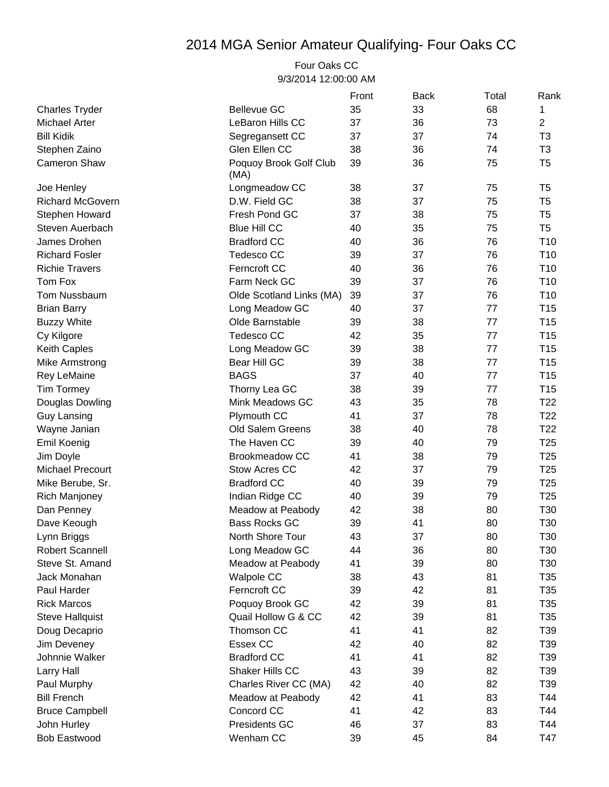## 2014 MGA Senior Amateur Qualifying- Four Oaks CC

Four Oaks CC 9/3/2014 12:00:00 AM

|                         |                                | Front | <b>Back</b> | Total | Rank            |
|-------------------------|--------------------------------|-------|-------------|-------|-----------------|
| <b>Charles Tryder</b>   | <b>Bellevue GC</b>             | 35    | 33          | 68    | 1               |
| Michael Arter           | LeBaron Hills CC               | 37    | 36          | 73    | 2               |
| <b>Bill Kidik</b>       | Segregansett CC                | 37    | 37          | 74    | T <sub>3</sub>  |
| Stephen Zaino           | Glen Ellen CC                  | 38    | 36          | 74    | T <sub>3</sub>  |
| <b>Cameron Shaw</b>     | Poquoy Brook Golf Club<br>(MA) | 39    | 36          | 75    | T <sub>5</sub>  |
| Joe Henley              | Longmeadow CC                  | 38    | 37          | 75    | T <sub>5</sub>  |
| <b>Richard McGovern</b> | D.W. Field GC                  | 38    | 37          | 75    | T <sub>5</sub>  |
| Stephen Howard          | Fresh Pond GC                  | 37    | 38          | 75    | T <sub>5</sub>  |
| Steven Auerbach         | <b>Blue Hill CC</b>            | 40    | 35          | 75    | T <sub>5</sub>  |
| James Drohen            | <b>Bradford CC</b>             | 40    | 36          | 76    | T <sub>10</sub> |
| <b>Richard Fosler</b>   | <b>Tedesco CC</b>              | 39    | 37          | 76    | T <sub>10</sub> |
| <b>Richie Travers</b>   | Ferncroft CC                   | 40    | 36          | 76    | T <sub>10</sub> |
| Tom Fox                 | Farm Neck GC                   | 39    | 37          | 76    | T <sub>10</sub> |
| Tom Nussbaum            | Olde Scotland Links (MA)       | 39    | 37          | 76    | T <sub>10</sub> |
| <b>Brian Barry</b>      | Long Meadow GC                 | 40    | 37          | 77    | T <sub>15</sub> |
| <b>Buzzy White</b>      | Olde Barnstable                | 39    | 38          | 77    | T <sub>15</sub> |
| Cy Kilgore              | Tedesco CC                     | 42    | 35          | 77    | T <sub>15</sub> |
| Keith Caples            | Long Meadow GC                 | 39    | 38          | 77    | T <sub>15</sub> |
| Mike Armstrong          | Bear Hill GC                   | 39    | 38          | 77    | T <sub>15</sub> |
| <b>Rey LeMaine</b>      | <b>BAGS</b>                    | 37    | 40          | 77    | T <sub>15</sub> |
| <b>Tim Tormey</b>       | Thorny Lea GC                  | 38    | 39          | 77    | T <sub>15</sub> |
| Douglas Dowling         | Mink Meadows GC                | 43    | 35          | 78    | T <sub>22</sub> |
| <b>Guy Lansing</b>      | Plymouth CC                    | 41    | 37          | 78    | T <sub>22</sub> |
| Wayne Janian            | Old Salem Greens               | 38    | 40          | 78    | T <sub>22</sub> |
| Emil Koenig             | The Haven CC                   | 39    | 40          | 79    | T <sub>25</sub> |
| Jim Doyle               | <b>Brookmeadow CC</b>          | 41    | 38          | 79    | T <sub>25</sub> |
| <b>Michael Precourt</b> | Stow Acres CC                  | 42    | 37          | 79    | T <sub>25</sub> |
| Mike Berube, Sr.        | <b>Bradford CC</b>             | 40    | 39          | 79    | T <sub>25</sub> |
| <b>Rich Manjoney</b>    | Indian Ridge CC                | 40    | 39          | 79    | T <sub>25</sub> |
| Dan Penney              | Meadow at Peabody              | 42    | 38          | 80    | T30             |
| Dave Keough             | <b>Bass Rocks GC</b>           | 39    | 41          | 80    | T30             |
| Lynn Briggs             | North Shore Tour               | 43    | 37          | 80    | T30             |
| <b>Robert Scannell</b>  | Long Meadow GC                 | 44    | 36          | 80    | T30             |
| Steve St. Amand         | Meadow at Peabody              | 41    | 39          | 80    | T30             |
| Jack Monahan            | <b>Walpole CC</b>              | 38    | 43          | 81    | T35             |
| Paul Harder             | Ferncroft CC                   | 39    | 42          | 81    | T35             |
| <b>Rick Marcos</b>      | Poquoy Brook GC                | 42    | 39          | 81    | T35             |
| <b>Steve Hallquist</b>  | Quail Hollow G & CC            | 42    | 39          | 81    | T35             |
| Doug Decaprio           | Thomson CC                     | 41    | 41          | 82    | T39             |
| Jim Deveney             | Essex CC                       | 42    | 40          | 82    | T39             |
| Johnnie Walker          | <b>Bradford CC</b>             | 41    | 41          | 82    | T39             |
| Larry Hall              | Shaker Hills CC                | 43    | 39          | 82    | T39             |
| Paul Murphy             | Charles River CC (MA)          | 42    | 40          | 82    | T39             |
| <b>Bill French</b>      | Meadow at Peabody              | 42    | 41          | 83    | T44             |
| <b>Bruce Campbell</b>   | Concord CC                     | 41    | 42          | 83    | T44             |
| John Hurley             | Presidents GC                  | 46    | 37          | 83    | T44             |
| <b>Bob Eastwood</b>     | Wenham CC                      | 39    | 45          | 84    | T47             |